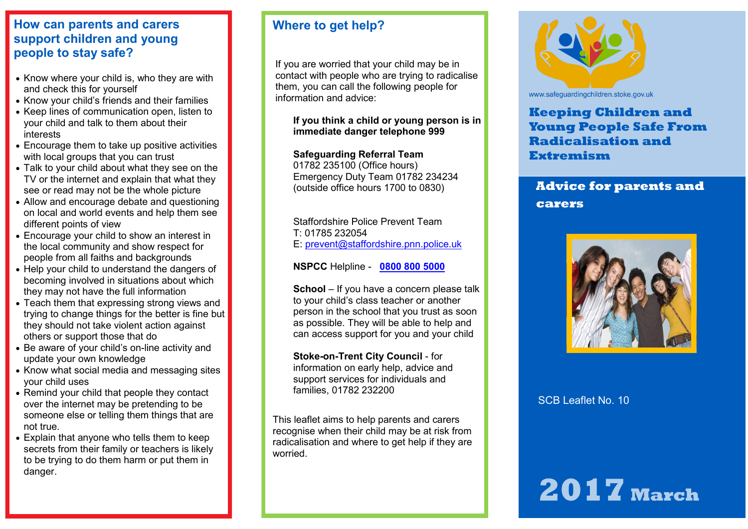### **How can parents and carers support children and young people to stay safe?**

- Know where your child is, who they are with and check this for yourself
- Know your child's friends and their families
- Keep lines of communication open, listen to your child and talk to them about their interests
- Encourage them to take up positive activities with local groups that you can trust
- Talk to your child about what they see on the TV or the internet and explain that what they see or read may not be the whole picture
- Allow and encourage debate and questioning on local and world events and help them see different points of view
- Encourage your child to show an interest in the local community and show respect for people from all faiths and backgrounds
- Help your child to understand the dangers of becoming involved in situations about which they may not have the full information
- Teach them that expressing strong views and trying to change things for the better is fine but they should not take violent action against others or support those that do
- Be aware of your child's on-line activity and update your own knowledge
- Know what social media and messaging sites your child uses
- Remind your child that people they contact over the internet may be pretending to be someone else or telling them things that are not true.
- Explain that anyone who tells them to keep secrets from their family or teachers is likely to be trying to do them harm or put them in danger.

### **Where to get help?**

If you are worried that your child may be in contact with people who are trying to radicalise them, you can call the following people for information and advice:

**If you think a child or young person is in immediate danger telephone 999** 

#### **Safeguarding Referral Team**

01782 235100 (Office hours) Emergency Duty Team 01782 234234 (outside office hours 1700 to 0830)

Staffordshire Police Prevent Team T: 01785 232054 E: [prevent@staffordshire.pnn.police.uk](mailto:prevent@staffordshire.pnn.police.uk)

**NSPCC** Helpline - **[0800 800 5000](tel:08008005000)**

**School** – If you have a concern please talk to your child's class teacher or another person in the school that you trust as soon as possible. They will be able to help and can access support for you and your child

**Stoke-on-Trent City Council** - for information on early help, advice and support services for individuals and families, 01782 232200

This leaflet aims to help parents and carers recognise when their child may be at risk from radicalisation and where to get help if they are worried.



www.safeguardingchildren.stoke.gov.uk

### **Keeping Children and Young People Safe From Radicalisation and Extremism**

# **Advice for parents and carers**



SCB Leaflet No. 10

# **2017 March**